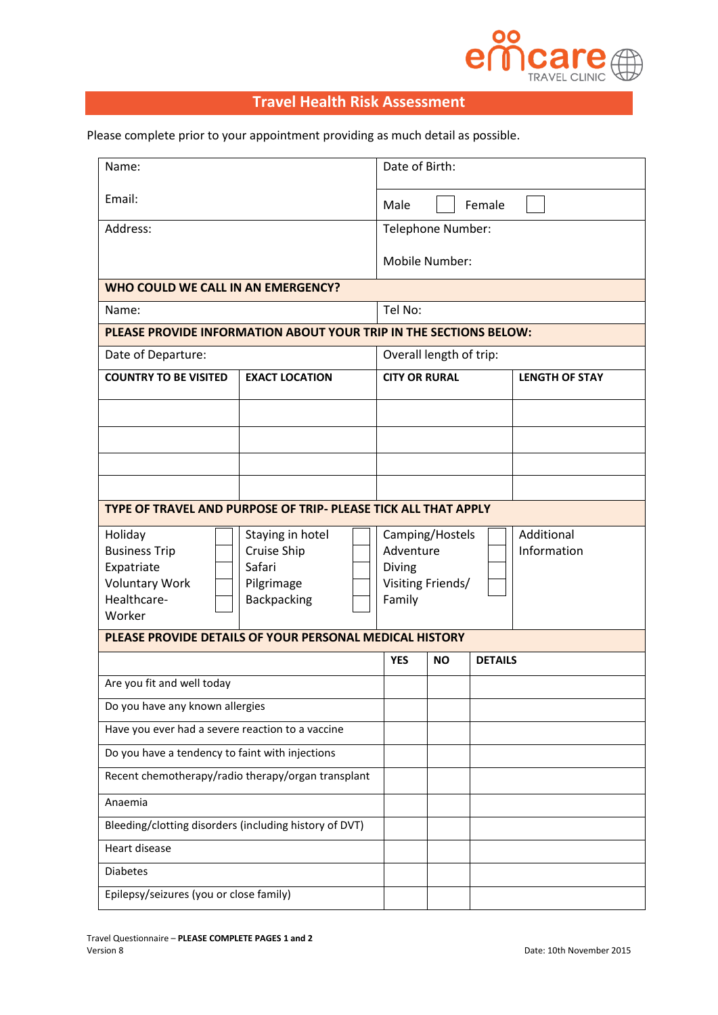

## **Travel Health Risk Assessment**

Please complete prior to your appointment providing as much detail as possible.

| Name:                                                                                           |                                                                        |                                                                                                    | Date of Birth:       |                |                       |  |
|-------------------------------------------------------------------------------------------------|------------------------------------------------------------------------|----------------------------------------------------------------------------------------------------|----------------------|----------------|-----------------------|--|
| Email:                                                                                          |                                                                        |                                                                                                    | Male<br>Female       |                |                       |  |
| Address:                                                                                        |                                                                        |                                                                                                    | Telephone Number:    |                |                       |  |
|                                                                                                 |                                                                        |                                                                                                    | Mobile Number:       |                |                       |  |
| WHO COULD WE CALL IN AN EMERGENCY?                                                              |                                                                        |                                                                                                    |                      |                |                       |  |
| Name:                                                                                           |                                                                        |                                                                                                    | Tel No:              |                |                       |  |
|                                                                                                 |                                                                        | PLEASE PROVIDE INFORMATION ABOUT YOUR TRIP IN THE SECTIONS BELOW:                                  |                      |                |                       |  |
| Date of Departure:                                                                              |                                                                        | Overall length of trip:                                                                            |                      |                |                       |  |
| <b>COUNTRY TO BE VISITED</b><br><b>EXACT LOCATION</b>                                           |                                                                        |                                                                                                    | <b>CITY OR RURAL</b> |                | <b>LENGTH OF STAY</b> |  |
|                                                                                                 |                                                                        |                                                                                                    |                      |                |                       |  |
|                                                                                                 |                                                                        |                                                                                                    |                      |                |                       |  |
|                                                                                                 |                                                                        |                                                                                                    |                      |                |                       |  |
|                                                                                                 |                                                                        |                                                                                                    |                      |                |                       |  |
| TYPE OF TRAVEL AND PURPOSE OF TRIP- PLEASE TICK ALL THAT APPLY                                  |                                                                        |                                                                                                    |                      |                |                       |  |
| Holiday<br><b>Business Trip</b><br>Expatriate<br><b>Voluntary Work</b><br>Healthcare-<br>Worker | Staying in hotel<br>Cruise Ship<br>Safari<br>Pilgrimage<br>Backpacking | Additional<br>Camping/Hostels<br>Adventure<br>Information<br>Diving<br>Visiting Friends/<br>Family |                      |                |                       |  |
| PLEASE PROVIDE DETAILS OF YOUR PERSONAL MEDICAL HISTORY                                         |                                                                        |                                                                                                    |                      |                |                       |  |
|                                                                                                 |                                                                        | <b>YES</b>                                                                                         | <b>NO</b>            | <b>DETAILS</b> |                       |  |
| Are you fit and well today                                                                      |                                                                        |                                                                                                    |                      |                |                       |  |
| Do you have any known allergies                                                                 |                                                                        |                                                                                                    |                      |                |                       |  |
| Have you ever had a severe reaction to a vaccine                                                |                                                                        |                                                                                                    |                      |                |                       |  |
| Do you have a tendency to faint with injections                                                 |                                                                        |                                                                                                    |                      |                |                       |  |
| Recent chemotherapy/radio therapy/organ transplant                                              |                                                                        |                                                                                                    |                      |                |                       |  |
| Anaemia                                                                                         |                                                                        |                                                                                                    |                      |                |                       |  |
| Bleeding/clotting disorders (including history of DVT)                                          |                                                                        |                                                                                                    |                      |                |                       |  |
| Heart disease                                                                                   |                                                                        |                                                                                                    |                      |                |                       |  |
| <b>Diabetes</b>                                                                                 |                                                                        |                                                                                                    |                      |                |                       |  |
| Epilepsy/seizures (you or close family)                                                         |                                                                        |                                                                                                    |                      |                |                       |  |